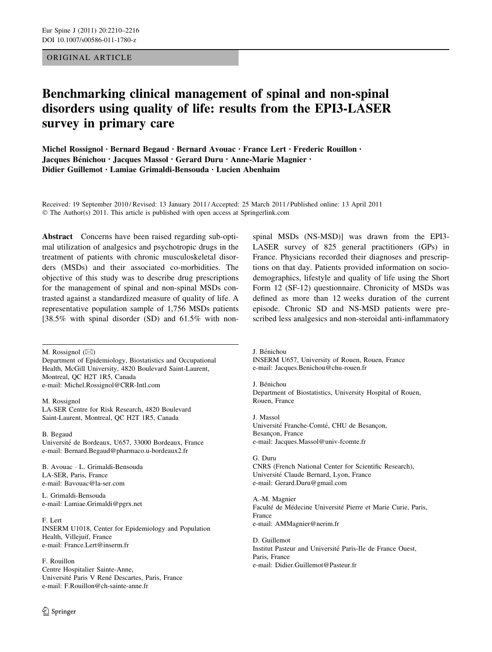ORIGINAL ARTICLE

# Benchmarking clinical management of spinal and non-spinal disorders using quality of life: results from the EPI3-LASER survey in primary care

Michel Rossignol • Bernard Begaud • Bernard Avouac • France Lert • Frederic Rouillon • Jacques Bénichou • Jacques Massol • Gerard Duru • Anne-Marie Magnier • Didier Guillemot • Lamiae Grimaldi-Bensouda • Lucien Abenhaim

Received: 19 September 2010 / Revised: 13 January 2011 / Accepted: 25 March 2011 / Published online: 13 April 2011 © The Author(s) 2011. This article is published with open access at Springerlink.com

Abstract Concerns have been raised regarding sub-optimal utilization of analgesics and psychotropic drugs in the treatment of patients with chronic musculoskeletal disorders (MSDs) and their associated co-morbidities. The objective of this study was to describe drug prescriptions for the management of spinal and non-spinal MSDs contrasted against a standardized measure of quality of life. A representative population sample of 1,756 MSDs patients [38.5% with spinal disorder (SD) and 61.5% with non-

M. Rossignol  $(\boxtimes)$ Department of Epidemiology, Biostatistics and Occupational Health, McGill University, 4820 Boulevard Saint-Laurent, Montreal, QC H2T 1R5, Canada e-mail: Michel.Rossignol@CRR-Intl.com

M. Rossignol LA-SER Centre for Risk Research, 4820 Boulevard Saint-Laurent, Montreal, QC H2T 1R5, Canada

B. Begaud Université de Bordeaux, U657, 33000 Bordeaux, France e-mail: Bernard.Begaud@pharmaco.u-bordeaux2.fr

B. Avouac - L. Grimaldi-Bensouda LA-SER, Paris, France e-mail: Bavouac@la-ser.com

L. Grimaldi-Bensouda e-mail: Lamiae.Grimaldi@pgrx.net

F. Lert INSERM U1018, Center for Epidemiology and Population Health, Villejuif, France e-mail: France.Lert@inserm.fr

F. Rouillon

Centre Hospitalier Sainte-Anne, Université Paris V René Descartes, Paris, France e-mail: F.Rouillon@ch-sainte-anne.fr

 $\textcircled{2}$  Springer

spinal MSDs (NS-MSD)] was drawn from the EPI3- LASER survey of 825 general practitioners (GPs) in France. Physicians recorded their diagnoses and prescriptions on that day. Patients provided information on sociodemographics, lifestyle and quality of life using the Short Form 12 (SF-12) questionnaire. Chronicity of MSDs was defined as more than 12 weeks duration of the current episode. Chronic SD and NS-MSD patients were prescribed less analgesics and non-steroidal anti-inflammatory

J. Bénichou INSERM U657, University of Rouen, Rouen, France e-mail: Jacques.Benichou@chu-rouen.fr

J. Bénichou Department of Biostatistics, University Hospital of Rouen, Rouen, France

J. Massol Université Franche-Comté, CHU de Besançon, Besançon, France e-mail: Jacques.Massol@univ-fcomte.fr

G. Duru CNRS (French National Center for Scientific Research), Université Claude Bernard, Lyon, France e-mail: Gerard.Duru@gmail.com

A.-M. Magnier Faculté de Médecine Université Pierre et Marie Curie, Paris, France e-mail: AMMagnier@nerim.fr

D. Guillemot Institut Pasteur and Université Paris-Ile de France Ouest, Paris, France e-mail: Didier.Guillemot@Pasteur.fr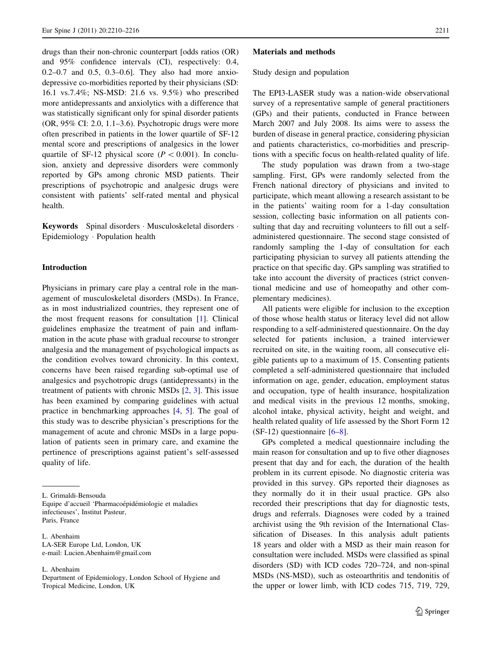drugs than their non-chronic counterpart [odds ratios (OR) and 95% confidence intervals (CI), respectively: 0.4, 0.2–0.7 and 0.5, 0.3–0.6]. They also had more anxiodepressive co-morbidities reported by their physicians (SD: 16.1 vs.7.4%; NS-MSD: 21.6 vs. 9.5%) who prescribed more antidepressants and anxiolytics with a difference that was statistically significant only for spinal disorder patients (OR, 95% CI: 2.0, 1.1–3.6). Psychotropic drugs were more often prescribed in patients in the lower quartile of SF-12 mental score and prescriptions of analgesics in the lower quartile of SF-12 physical score ( $P \lt 0.001$ ). In conclusion, anxiety and depressive disorders were commonly reported by GPs among chronic MSD patients. Their prescriptions of psychotropic and analgesic drugs were consistent with patients' self-rated mental and physical health.

Keywords Spinal disorders · Musculoskeletal disorders · Epidemiology - Population health

## Introduction

Physicians in primary care play a central role in the management of musculoskeletal disorders (MSDs). In France, as in most industrialized countries, they represent one of the most frequent reasons for consultation [\[1](#page-6-0)]. Clinical guidelines emphasize the treatment of pain and inflammation in the acute phase with gradual recourse to stronger analgesia and the management of psychological impacts as the condition evolves toward chronicity. In this context, concerns have been raised regarding sub-optimal use of analgesics and psychotropic drugs (antidepressants) in the treatment of patients with chronic MSDs [[2,](#page-6-0) [3](#page-6-0)]. This issue has been examined by comparing guidelines with actual practice in benchmarking approaches [[4,](#page-6-0) [5\]](#page-6-0). The goal of this study was to describe physician's prescriptions for the management of acute and chronic MSDs in a large population of patients seen in primary care, and examine the pertinence of prescriptions against patient's self-assessed quality of life.

L. Grimaldi-Bensouda

Equipe d'accueil 'Pharmacoépidémiologie et maladies infectieuses', Institut Pasteur, Paris, France

L. Abenhaim

#### Materials and methods

Study design and population

The EPI3-LASER study was a nation-wide observational survey of a representative sample of general practitioners (GPs) and their patients, conducted in France between March 2007 and July 2008. Its aims were to assess the burden of disease in general practice, considering physician and patients characteristics, co-morbidities and prescriptions with a specific focus on health-related quality of life.

The study population was drawn from a two-stage sampling. First, GPs were randomly selected from the French national directory of physicians and invited to participate, which meant allowing a research assistant to be in the patients' waiting room for a 1-day consultation session, collecting basic information on all patients consulting that day and recruiting volunteers to fill out a selfadministered questionnaire. The second stage consisted of randomly sampling the 1-day of consultation for each participating physician to survey all patients attending the practice on that specific day. GPs sampling was stratified to take into account the diversity of practices (strict conventional medicine and use of homeopathy and other complementary medicines).

All patients were eligible for inclusion to the exception of those whose health status or literacy level did not allow responding to a self-administered questionnaire. On the day selected for patients inclusion, a trained interviewer recruited on site, in the waiting room, all consecutive eligible patients up to a maximum of 15. Consenting patients completed a self-administered questionnaire that included information on age, gender, education, employment status and occupation, type of health insurance, hospitalization and medical visits in the previous 12 months, smoking, alcohol intake, physical activity, height and weight, and health related quality of life assessed by the Short Form 12 (SF-12) questionnaire [\[6–8](#page-6-0)].

GPs completed a medical questionnaire including the main reason for consultation and up to five other diagnoses present that day and for each, the duration of the health problem in its current episode. No diagnostic criteria was provided in this survey. GPs reported their diagnoses as they normally do it in their usual practice. GPs also recorded their prescriptions that day for diagnostic tests, drugs and referrals. Diagnoses were coded by a trained archivist using the 9th revision of the International Classification of Diseases. In this analysis adult patients 18 years and older with a MSD as their main reason for consultation were included. MSDs were classified as spinal disorders (SD) with ICD codes 720–724, and non-spinal MSDs (NS-MSD), such as osteoarthritis and tendonitis of the upper or lower limb, with ICD codes 715, 719, 729,

L. Abenhaim LA-SER Europe Ltd, London, UK e-mail: Lucien.Abenhaim@gmail.com

Department of Epidemiology, London School of Hygiene and Tropical Medicine, London, UK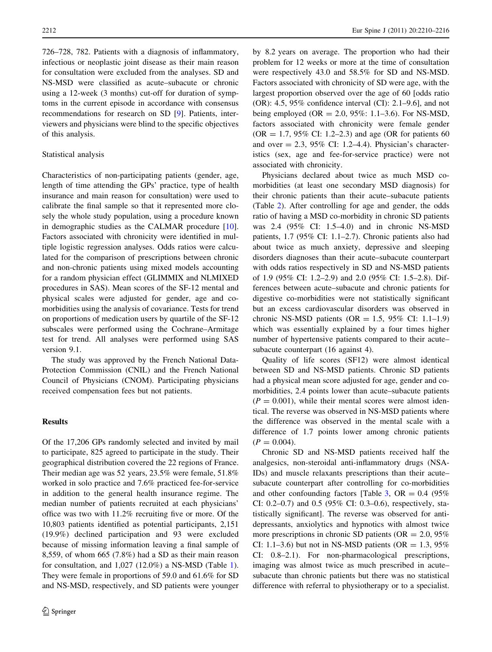726–728, 782. Patients with a diagnosis of inflammatory, infectious or neoplastic joint disease as their main reason for consultation were excluded from the analyses. SD and NS-MSD were classified as acute–subacute or chronic using a 12-week (3 months) cut-off for duration of symptoms in the current episode in accordance with consensus recommendations for research on SD [\[9](#page-6-0)]. Patients, interviewers and physicians were blind to the specific objectives of this analysis.

#### Statistical analysis

Characteristics of non-participating patients (gender, age, length of time attending the GPs' practice, type of health insurance and main reason for consultation) were used to calibrate the final sample so that it represented more closely the whole study population, using a procedure known in demographic studies as the CALMAR procedure [\[10](#page-6-0)]. Factors associated with chronicity were identified in multiple logistic regression analyses. Odds ratios were calculated for the comparison of prescriptions between chronic and non-chronic patients using mixed models accounting for a random physician effect (GLIMMIX and NLMIXED procedures in SAS). Mean scores of the SF-12 mental and physical scales were adjusted for gender, age and comorbidities using the analysis of covariance. Tests for trend on proportions of medication users by quartile of the SF-12 subscales were performed using the Cochrane–Armitage test for trend. All analyses were performed using SAS version 9.1.

The study was approved by the French National Data-Protection Commission (CNIL) and the French National Council of Physicians (CNOM). Participating physicians received compensation fees but not patients.

## **Results**

Of the 17,206 GPs randomly selected and invited by mail to participate, 825 agreed to participate in the study. Their geographical distribution covered the 22 regions of France. Their median age was 52 years, 23.5% were female, 51.8% worked in solo practice and 7.6% practiced fee-for-service in addition to the general health insurance regime. The median number of patients recruited at each physicians' office was two with 11.2% recruiting five or more. Of the 10,803 patients identified as potential participants, 2,151 (19.9%) declined participation and 93 were excluded because of missing information leaving a final sample of 8,559, of whom 665 (7.8%) had a SD as their main reason for consultation, and 1,027 (12.0%) a NS-MSD (Table [1](#page-3-0)). They were female in proportions of 59.0 and 61.6% for SD and NS-MSD, respectively, and SD patients were younger by 8.2 years on average. The proportion who had their problem for 12 weeks or more at the time of consultation were respectively 43.0 and 58.5% for SD and NS-MSD. Factors associated with chronicity of SD were age, with the largest proportion observed over the age of 60 [odds ratio (OR): 4.5, 95% confidence interval (CI): 2.1–9.6], and not being employed (OR = 2.0, 95%: 1.1–3.6). For NS-MSD, factors associated with chronicity were female gender  $(OR = 1.7, 95\% \text{ CI: } 1.2-2.3)$  and age  $(OR \text{ for patients } 60)$ and over  $= 2.3$ , 95% CI: 1.2–4.4). Physician's characteristics (sex, age and fee-for-service practice) were not associated with chronicity.

Physicians declared about twice as much MSD comorbidities (at least one secondary MSD diagnosis) for their chronic patients than their acute–subacute patients (Table [2\)](#page-4-0). After controlling for age and gender, the odds ratio of having a MSD co-morbidity in chronic SD patients was 2.4 (95% CI: 1.5–4.0) and in chronic NS-MSD patients, 1.7 (95% CI: 1.1–2.7). Chronic patients also had about twice as much anxiety, depressive and sleeping disorders diagnoses than their acute–subacute counterpart with odds ratios respectively in SD and NS-MSD patients of 1.9 (95% CI: 1.2–2.9) and 2.0 (95% CI: 1.5–2.8). Differences between acute–subacute and chronic patients for digestive co-morbidities were not statistically significant but an excess cardiovascular disorders was observed in chronic NS-MSD patients (OR =  $1.5$ , 95% CI:  $1.1-1.9$ ) which was essentially explained by a four times higher number of hypertensive patients compared to their acute– subacute counterpart (16 against 4).

Quality of life scores (SF12) were almost identical between SD and NS-MSD patients. Chronic SD patients had a physical mean score adjusted for age, gender and comorbidities, 2.4 points lower than acute–subacute patients  $(P = 0.001)$ , while their mental scores were almost identical. The reverse was observed in NS-MSD patients where the difference was observed in the mental scale with a difference of 1.7 points lower among chronic patients  $(P = 0.004)$ .

Chronic SD and NS-MSD patients received half the analgesics, non-steroidal anti-inflammatory drugs (NSA-IDs) and muscle relaxants prescriptions than their acute– subacute counterpart after controlling for co-morbidities and other confounding factors [Table [3,](#page-4-0) OR =  $0.4$  (95%) CI: 0.2–0.7) and 0.5 (95% CI: 0.3–0.6), respectively, statistically significant]. The reverse was observed for antidepressants, anxiolytics and hypnotics with almost twice more prescriptions in chronic SD patients ( $OR = 2.0, 95\%$ CI: 1.1–3.6) but not in NS-MSD patients (OR =  $1.3$ , 95% CI: 0.8–2.1). For non-pharmacological prescriptions, imaging was almost twice as much prescribed in acute– subacute than chronic patients but there was no statistical difference with referral to physiotherapy or to a specialist.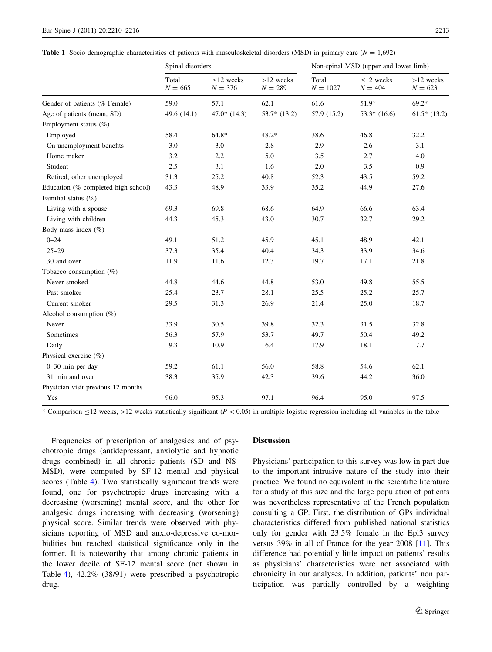<span id="page-3-0"></span>**Table 1** Socio-demographic characteristics of patients with musculoskeletal disorders (MSD) in primary care ( $N = 1,692$ )

|                                     | Spinal disorders   |                           |                          |                     | Non-spinal MSD (upper and lower limb) |                          |  |
|-------------------------------------|--------------------|---------------------------|--------------------------|---------------------|---------------------------------------|--------------------------|--|
|                                     | Total<br>$N = 665$ | $<$ 12 weeks<br>$N = 376$ | $>12$ weeks<br>$N = 289$ | Total<br>$N = 1027$ | $<$ 12 weeks<br>$N = 404$             | $>12$ weeks<br>$N = 623$ |  |
| Gender of patients (% Female)       | 59.0               | 57.1                      | 62.1                     | 61.6                | 51.9*                                 | $69.2*$                  |  |
| Age of patients (mean, SD)          | 49.6 (14.1)        | $47.0*$ (14.3)            | $53.7*$ (13.2)           | 57.9 (15.2)         | $53.3*$ (16.6)                        | $61.5*$ (13.2)           |  |
| Employment status $(\%)$            |                    |                           |                          |                     |                                       |                          |  |
| Employed                            | 58.4               | 64.8*                     | 48.2*                    | 38.6                | 46.8                                  | 32.2                     |  |
| On unemployment benefits            | 3.0                | 3.0                       | 2.8                      | 2.9                 | 2.6                                   | 3.1                      |  |
| Home maker                          | 3.2                | 2.2                       | 5.0                      | 3.5                 | 2.7                                   | 4.0                      |  |
| Student                             | 2.5                | 3.1                       | 1.6                      | 2.0                 | 3.5                                   | 0.9                      |  |
| Retired, other unemployed           | 31.3               | 25.2                      | 40.8                     | 52.3                | 43.5                                  | 59.2                     |  |
| Education (% completed high school) | 43.3               | 48.9                      | 33.9                     | 35.2                | 44.9                                  | 27.6                     |  |
| Familial status (%)                 |                    |                           |                          |                     |                                       |                          |  |
| Living with a spouse                | 69.3               | 69.8                      | 68.6                     | 64.9                | 66.6                                  | 63.4                     |  |
| Living with children                | 44.3               | 45.3                      | 43.0                     | 30.7                | 32.7                                  | 29.2                     |  |
| Body mass index (%)                 |                    |                           |                          |                     |                                       |                          |  |
| $0 - 24$                            | 49.1               | 51.2                      | 45.9                     | 45.1                | 48.9                                  | 42.1                     |  |
| $25 - 29$                           | 37.3               | 35.4                      | 40.4                     | 34.3                | 33.9                                  | 34.6                     |  |
| 30 and over                         | 11.9               | 11.6                      | 12.3                     | 19.7                | 17.1                                  | 21.8                     |  |
| Tobacco consumption $(\%)$          |                    |                           |                          |                     |                                       |                          |  |
| Never smoked                        | 44.8               | 44.6                      | 44.8                     | 53.0                | 49.8                                  | 55.5                     |  |
| Past smoker                         | 25.4               | 23.7                      | 28.1                     | 25.5                | 25.2                                  | 25.7                     |  |
| Current smoker                      | 29.5               | 31.3                      | 26.9                     | 21.4                | 25.0                                  | 18.7                     |  |
| Alcohol consumption (%)             |                    |                           |                          |                     |                                       |                          |  |
| Never                               | 33.9               | 30.5                      | 39.8                     | 32.3                | 31.5                                  | 32.8                     |  |
| Sometimes                           | 56.3               | 57.9                      | 53.7                     | 49.7                | 50.4                                  | 49.2                     |  |
| Daily                               | 9.3                | 10.9                      | 6.4                      | 17.9                | 18.1                                  | 17.7                     |  |
| Physical exercise (%)               |                    |                           |                          |                     |                                       |                          |  |
| 0-30 min per day                    | 59.2               | 61.1                      | 56.0                     | 58.8                | 54.6                                  | 62.1                     |  |
| 31 min and over                     | 38.3               | 35.9                      | 42.3                     | 39.6                | 44.2                                  | 36.0                     |  |
| Physician visit previous 12 months  |                    |                           |                          |                     |                                       |                          |  |
| Yes                                 | 96.0               | 95.3                      | 97.1                     | 96.4                | 95.0                                  | 97.5                     |  |

\* Comparison  $\leq$ 12 weeks,  $>$ 12 weeks statistically significant (P < 0.05) in multiple logistic regression including all variables in the table

Frequencies of prescription of analgesics and of psychotropic drugs (antidepressant, anxiolytic and hypnotic drugs combined) in all chronic patients (SD and NS-MSD), were computed by SF-12 mental and physical scores (Table [4](#page-5-0)). Two statistically significant trends were found, one for psychotropic drugs increasing with a decreasing (worsening) mental score, and the other for analgesic drugs increasing with decreasing (worsening) physical score. Similar trends were observed with physicians reporting of MSD and anxio-depressive co-morbidities but reached statistical significance only in the former. It is noteworthy that among chronic patients in the lower decile of SF-12 mental score (not shown in Table [4](#page-5-0)), 42.2% (38/91) were prescribed a psychotropic drug.

## Discussion

Physicians' participation to this survey was low in part due to the important intrusive nature of the study into their practice. We found no equivalent in the scientific literature for a study of this size and the large population of patients was nevertheless representative of the French population consulting a GP. First, the distribution of GPs individual characteristics differed from published national statistics only for gender with 23.5% female in the Epi3 survey versus 39% in all of France for the year 2008 [[11\]](#page-6-0). This difference had potentially little impact on patients' results as physicians' characteristics were not associated with chronicity in our analyses. In addition, patients' non participation was partially controlled by a weighting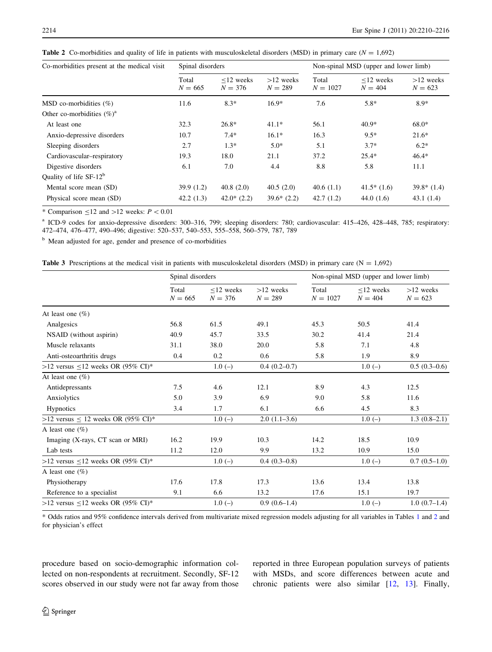| Co-morbidities present at the medical visit | Spinal disorders   |                              |                          | Non-spinal MSD (upper and lower limb) |                              |                          |  |
|---------------------------------------------|--------------------|------------------------------|--------------------------|---------------------------------------|------------------------------|--------------------------|--|
|                                             | Total<br>$N = 665$ | $\leq$ 12 weeks<br>$N = 376$ | $>12$ weeks<br>$N = 289$ | Total<br>$N = 1027$                   | $\leq$ 12 weeks<br>$N = 404$ | $>12$ weeks<br>$N = 623$ |  |
| MSD co-morbidities $(\%)$                   | 11.6               | $8.3*$                       | $16.9*$                  | 7.6                                   | $5.8*$                       | $8.9*$                   |  |
| Other co-morbidities $(\%)^a$               |                    |                              |                          |                                       |                              |                          |  |
| At least one                                | 32.3               | $26.8*$                      | $41.1*$                  | 56.1                                  | $40.9*$                      | $68.0*$                  |  |
| Anxio-depressive disorders                  | 10.7               | $7.4*$                       | $16.1*$                  | 16.3                                  | $9.5*$                       | $21.6*$                  |  |
| Sleeping disorders                          | 2.7                | $1.3*$                       | $5.0*$                   | 5.1                                   | $3.7*$                       | $6.2*$                   |  |
| Cardiovascular–respiratory                  | 19.3               | 18.0                         | 21.1                     | 37.2                                  | $25.4*$                      | $46.4*$                  |  |
| Digestive disorders                         | 6.1                | 7.0                          | 4.4                      | 8.8                                   | 5.8                          | 11.1                     |  |
| Quality of life $SF-12^b$                   |                    |                              |                          |                                       |                              |                          |  |
| Mental score mean (SD)                      | 39.9(1.2)          | 40.8(2.0)                    | 40.5(2.0)                | 40.6(1.1)                             | $41.5*(1.6)$                 | $39.8*$ (1.4)            |  |
| Physical score mean (SD)                    | 42.2(1.3)          | $42.0*(2.2)$                 | $39.6*(2.2)$             | 42.7(1.2)                             | 44.0 $(1.6)$                 | 43.1(1.4)                |  |

<span id="page-4-0"></span>**Table 2** Co-morbidities and quality of life in patients with musculoskeletal disorders (MSD) in primary care ( $N = 1,692$ )

\* Comparison  $\leq$ 12 and  $>$ 12 weeks:  $P < 0.01$ 

<sup>a</sup> ICD-9 codes for anxio-depressive disorders: 300–316, 799; sleeping disorders: 780; cardiovascular: 415–426, 428–448, 785; respiratory: 472–474, 476–477, 490–496; digestive: 520–537, 540–553, 555–558, 560–579, 787, 789

<sup>b</sup> Mean adjusted for age, gender and presence of co-morbidities

**Table 3** Prescriptions at the medical visit in patients with musculoskeletal disorders (MSD) in primary care ( $N = 1,692$ )

|                                           | Spinal disorders   |                           |                          | Non-spinal MSD (upper and lower limb) |                              |                          |
|-------------------------------------------|--------------------|---------------------------|--------------------------|---------------------------------------|------------------------------|--------------------------|
|                                           | Total<br>$N = 665$ | $<$ 12 weeks<br>$N = 376$ | $>12$ weeks<br>$N = 289$ | Total<br>$N = 1027$                   | $\leq$ 12 weeks<br>$N = 404$ | $>12$ weeks<br>$N = 623$ |
| At least one $(\% )$                      |                    |                           |                          |                                       |                              |                          |
| Analgesics                                | 56.8               | 61.5                      | 49.1                     | 45.3                                  | 50.5                         | 41.4                     |
| NSAID (without aspirin)                   | 40.9               | 45.7                      | 33.5                     | 30.2                                  | 41.4                         | 21.4                     |
| Muscle relaxants                          | 31.1               | 38.0                      | 20.0                     | 5.8                                   | 7.1                          | 4.8                      |
| Anti-osteoarthritis drugs                 | 0.4                | 0.2                       | 0.6                      | 5.8                                   | 1.9                          | 8.9                      |
| $>12$ versus $\leq 12$ weeks OR (95% CI)* |                    | $1.0(-)$                  | $0.4(0.2-0.7)$           |                                       | $1.0(-)$                     | $0.5(0.3-0.6)$           |
| At least one $(\%)$                       |                    |                           |                          |                                       |                              |                          |
| Antidepressants                           | 7.5                | 4.6                       | 12.1                     | 8.9                                   | 4.3                          | 12.5                     |
| Anxiolytics                               | 5.0                | 3.9                       | 6.9                      | 9.0                                   | 5.8                          | 11.6                     |
| <b>Hypnotics</b>                          | 3.4                | 1.7                       | 6.1                      | 6.6                                   | 4.5                          | 8.3                      |
| >12 versus $\leq$ 12 weeks OR (95% CI)*   |                    | $1.0(-)$                  | $2.0(1.1-3.6)$           |                                       | $1.0(-)$                     | $1.3(0.8-2.1)$           |
| A least one $(\%)$                        |                    |                           |                          |                                       |                              |                          |
| Imaging (X-rays, CT scan or MRI)          | 16.2               | 19.9                      | 10.3                     | 14.2                                  | 18.5                         | 10.9                     |
| Lab tests                                 | 11.2               | 12.0                      | 9.9                      | 13.2                                  | 10.9                         | 15.0                     |
| $>12$ versus $\leq 12$ weeks OR (95% CI)* |                    | $1.0(-)$                  | $0.4(0.3-0.8)$           |                                       | $1.0(-)$                     | $0.7(0.5-1.0)$           |
| A least one $(\%)$                        |                    |                           |                          |                                       |                              |                          |
| Physiotherapy                             | 17.6               | 17.8                      | 17.3                     | 13.6                                  | 13.4                         | 13.8                     |
| Reference to a specialist                 | 9.1                | 6.6                       | 13.2                     | 17.6                                  | 15.1                         | 19.7                     |
| >12 versus $\leq$ 12 weeks OR (95% CI)*   |                    | $1.0(-)$                  | $0.9(0.6-1.4)$           |                                       | $1.0(-)$                     | $1.0(0.7-1.4)$           |

\* Odds ratios and 95% confidence intervals derived from multivariate mixed regression models adjusting for all variables in Tables [1](#page-3-0) and 2 and for physician's effect

procedure based on socio-demographic information collected on non-respondents at recruitment. Secondly, SF-12 scores observed in our study were not far away from those reported in three European population surveys of patients with MSDs, and score differences between acute and chronic patients were also similar [[12,](#page-6-0) [13](#page-6-0)]. Finally,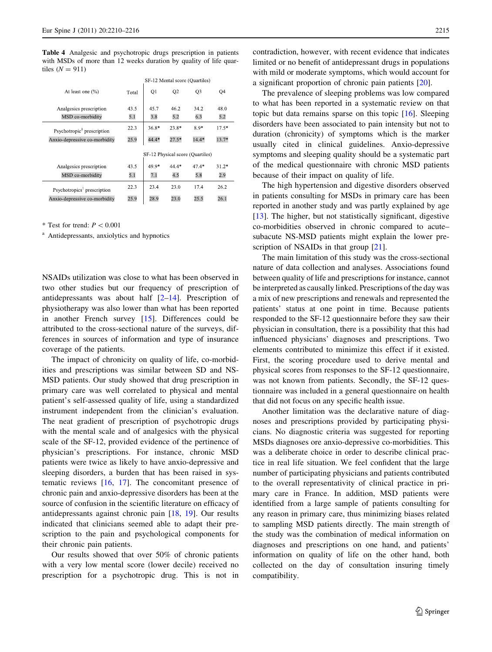<span id="page-5-0"></span>Table 4 Analgesic and psychotropic drugs prescription in patients with MSDs of more than 12 weeks duration by quality of life quartiles  $(N = 911)$ 

|                                         |       | SF 12 Mental score (Quartiles)   |                |                |         |
|-----------------------------------------|-------|----------------------------------|----------------|----------------|---------|
| At least one $(\% )$                    | Total | Q <sub>1</sub>                   | Q <sub>2</sub> | Q <sub>3</sub> | Q4      |
| Analgesics prescription                 | 43.5  | 45.7                             | 46.2           | 34.2           | 48.0    |
| MSD co-morbidity                        | 5.1   | 3.8                              | 5.2            | 6.3            | 5.2     |
| Psychotropic <sup>1</sup> prescription  | 22.3  | 36.8*                            | 23.8*          | 8.9*           | $17.5*$ |
| Anxio-depressive co-morbidity           | 25.9  | 44.4*                            | $27.5*$        | $14.4*$        | $13.7*$ |
|                                         |       | SF 12 Physical score (Quartiles) |                |                |         |
| Analgesics prescription                 | 43.5  | 49.9*                            | 44.4*          | $47.4*$        | $31.2*$ |
| MSD co-morbidity                        | 5.1   | 7.1                              | 4.5            | 5.8            | 2.9     |
| Psychotropics <sup>1</sup> prescription | 22.3  | 23.4                             | 23.0           | 17.4           | 26.2    |
| Anxio-depressive co-morbidity           | 25.9  | 28.9                             | 23.0           | 25.5           | 26.1    |

\* Test for trend:  $P < 0.001$ 

<sup>a</sup> Antidepressants, anxiolytics and hypnotics

NSAIDs utilization was close to what has been observed in two other studies but our frequency of prescription of antidepressants was about half  $[2-14]$ . Prescription of physiotherapy was also lower than what has been reported in another French survey [\[15](#page-6-0)]. Differences could be attributed to the cross-sectional nature of the surveys, differences in sources of information and type of insurance coverage of the patients.

The impact of chronicity on quality of life, co-morbidities and prescriptions was similar between SD and NS-MSD patients. Our study showed that drug prescription in primary care was well correlated to physical and mental patient's self-assessed quality of life, using a standardized instrument independent from the clinician's evaluation. The neat gradient of prescription of psychotropic drugs with the mental scale and of analgesics with the physical scale of the SF-12, provided evidence of the pertinence of physician's prescriptions. For instance, chronic MSD patients were twice as likely to have anxio-depressive and sleeping disorders, a burden that has been raised in systematic reviews [[16,](#page-6-0) [17](#page-6-0)]. The concomitant presence of chronic pain and anxio-depressive disorders has been at the source of confusion in the scientific literature on efficacy of antidepressants against chronic pain [\[18](#page-6-0), [19\]](#page-6-0). Our results indicated that clinicians seemed able to adapt their prescription to the pain and psychological components for their chronic pain patients.

Our results showed that over 50% of chronic patients with a very low mental score (lower decile) received no prescription for a psychotropic drug. This is not in contradiction, however, with recent evidence that indicates limited or no benefit of antidepressant drugs in populations with mild or moderate symptoms, which would account for a significant proportion of chronic pain patients [[20\]](#page-6-0).

The prevalence of sleeping problems was low compared to what has been reported in a systematic review on that topic but data remains sparse on this topic [[16\]](#page-6-0). Sleeping disorders have been associated to pain intensity but not to duration (chronicity) of symptoms which is the marker usually cited in clinical guidelines. Anxio-depressive symptoms and sleeping quality should be a systematic part of the medical questionnaire with chronic MSD patients because of their impact on quality of life.

The high hypertension and digestive disorders observed in patients consulting for MSDs in primary care has been reported in another study and was partly explained by age [\[13](#page-6-0)]. The higher, but not statistically significant, digestive co-morbidities observed in chronic compared to acute– subacute NS-MSD patients might explain the lower pre-scription of NSAIDs in that group [\[21](#page-6-0)].

The main limitation of this study was the cross-sectional nature of data collection and analyses. Associations found between quality of life and prescriptions for instance, cannot be interpreted as causally linked. Prescriptions of the day was a mix of new prescriptions and renewals and represented the patients' status at one point in time. Because patients responded to the SF-12 questionnaire before they saw their physician in consultation, there is a possibility that this had influenced physicians' diagnoses and prescriptions. Two elements contributed to minimize this effect if it existed. First, the scoring procedure used to derive mental and physical scores from responses to the SF-12 questionnaire, was not known from patients. Secondly, the SF-12 questionnaire was included in a general questionnaire on health that did not focus on any specific health issue.

Another limitation was the declarative nature of diagnoses and prescriptions provided by participating physicians. No diagnostic criteria was suggested for reporting MSDs diagnoses ore anxio-depressive co-morbidities. This was a deliberate choice in order to describe clinical practice in real life situation. We feel confident that the large number of participating physicians and patients contributed to the overall representativity of clinical practice in primary care in France. In addition, MSD patients were identified from a large sample of patients consulting for any reason in primary care, thus minimizing biases related to sampling MSD patients directly. The main strength of the study was the combination of medical information on diagnoses and prescriptions on one hand, and patients' information on quality of life on the other hand, both collected on the day of consultation insuring timely compatibility.